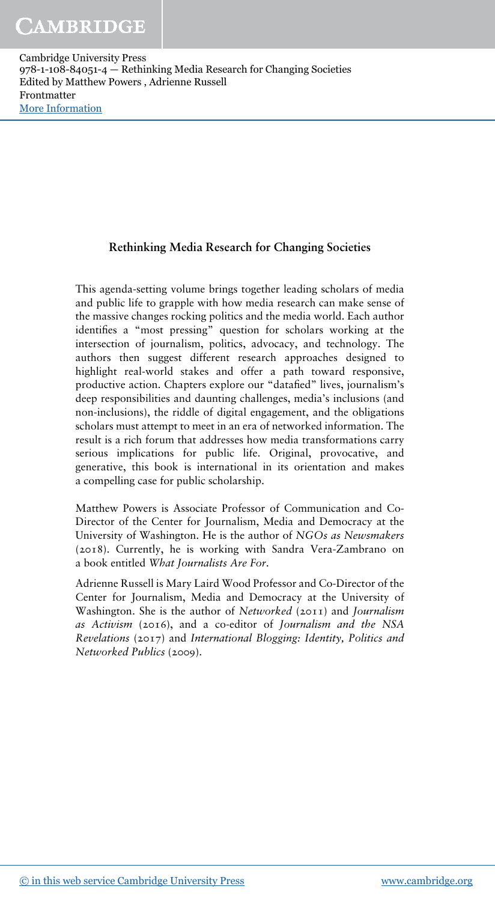### Rethinking Media Research for Changing Societies

This agenda-setting volume brings together leading scholars of media and public life to grapple with how media research can make sense of the massive changes rocking politics and the media world. Each author identifies a "most pressing" question for scholars working at the intersection of journalism, politics, advocacy, and technology. The authors then suggest different research approaches designed to highlight real-world stakes and offer a path toward responsive, productive action. Chapters explore our "datafied" lives, journalism's deep responsibilities and daunting challenges, media's inclusions (and non-inclusions), the riddle of digital engagement, and the obligations scholars must attempt to meet in an era of networked information. The result is a rich forum that addresses how media transformations carry serious implications for public life. Original, provocative, and generative, this book is international in its orientation and makes a compelling case for public scholarship.

Matthew Powers is Associate Professor of Communication and Co-Director of the Center for Journalism, Media and Democracy at the University of Washington. He is the author of *NGOs as Newsmakers* (2018). Currently, he is working with Sandra Vera-Zambrano on a book entitled *What Journalists Are For*.

Adrienne Russell is Mary Laird Wood Professor and Co-Director of the Center for Journalism, Media and Democracy at the University of Washington. She is the author of *Networked* (2011) and *Journalism as Activism* (2016), and a co-editor of *Journalism and the NSA Revelations* (2017) and *International Blogging: Identity, Politics and Networked Publics* (2009).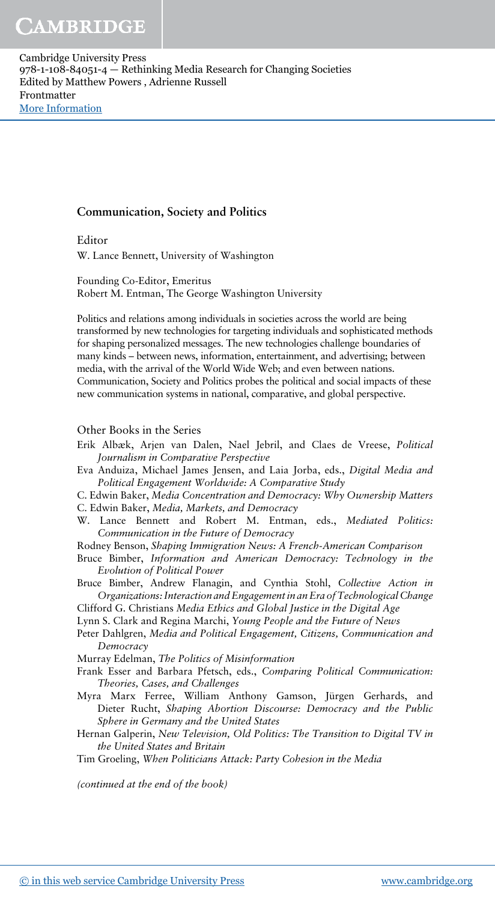# CAMBRIDGE

Cambridge University Press 978-1-108-84051-4 — Rethinking Media Research for Changing Societies Edited by Matthew Powers , Adrienne Russell Frontmatter [More Information](www.cambridge.org/9781108840514)

### Communication, Society and Politics

Editor W. Lance Bennett, University of Washington

Founding Co-Editor, Emeritus Robert M. Entman, The George Washington University

Politics and relations among individuals in societies across the world are being transformed by new technologies for targeting individuals and sophisticated methods for shaping personalized messages. The new technologies challenge boundaries of many kinds – between news, information, entertainment, and advertising; between media, with the arrival of the World Wide Web; and even between nations. Communication, Society and Politics probes the political and social impacts of these new communication systems in national, comparative, and global perspective.

#### Other Books in the Series

- Erik Albæk, Arjen van Dalen, Nael Jebril, and Claes de Vreese, *Political Journalism in Comparative Perspective*
- Eva Anduiza, Michael James Jensen, and Laia Jorba, eds., *Digital Media and Political Engagement Worldwide: A Comparative Study*
- C. Edwin Baker, *Media Concentration and Democracy: Why Ownership Matters*
- C. Edwin Baker, *Media, Markets, and Democracy*
- W. Lance Bennett and Robert M. Entman, eds., *Mediated Politics: Communication in the Future of Democracy*

Rodney Benson, *Shaping Immigration News: A French-American Comparison*

Bruce Bimber, *Information and American Democracy: Technology in the Evolution of Political Power*

Bruce Bimber, Andrew Flanagin, and Cynthia Stohl, *Collective Action in Organizations: Interaction and Engagement in an Era of Technological Change*

- Clifford G. Christians *Media Ethics and Global Justice in the Digital Age*
- Lynn S. Clark and Regina Marchi, *Young People and the Future of News*
- Peter Dahlgren, *Media and Political Engagement, Citizens, Communication and Democracy*

Murray Edelman, *The Politics of Misinformation*

- Frank Esser and Barbara Pfetsch, eds., *Comparing Political Communication: Theories, Cases, and Challenges*
- Myra Marx Ferree, William Anthony Gamson, Jürgen Gerhards, and Dieter Rucht, *Shaping Abortion Discourse: Democracy and the Public Sphere in Germany and the United States*
- Hernan Galperin, *New Television, Old Politics: The Transition to Digital TV in the United States and Britain*

Tim Groeling, *When Politicians Attack: Party Cohesion in the Media*

*(continued at the end of the book)*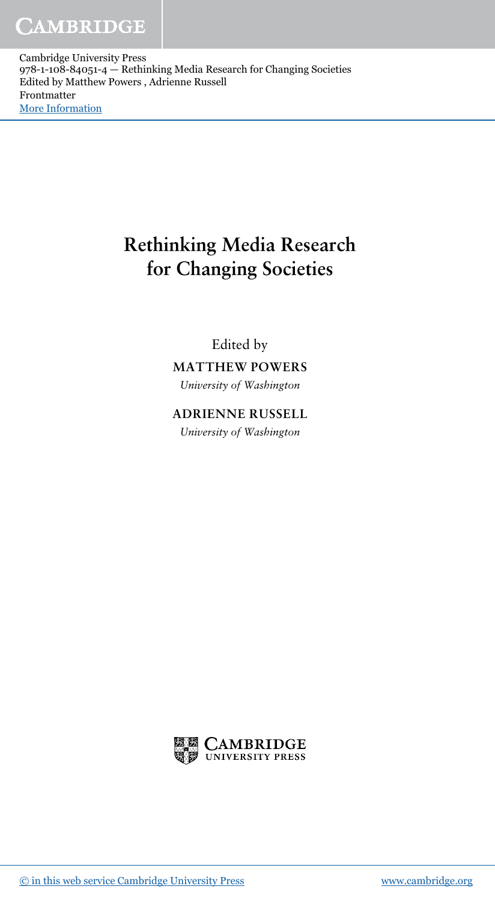# Rethinking Media Research for Changing Societies

Edited by MATTHEW POWERS *University of Washington*

ADRIENNE RUSSELL *University of Washington*

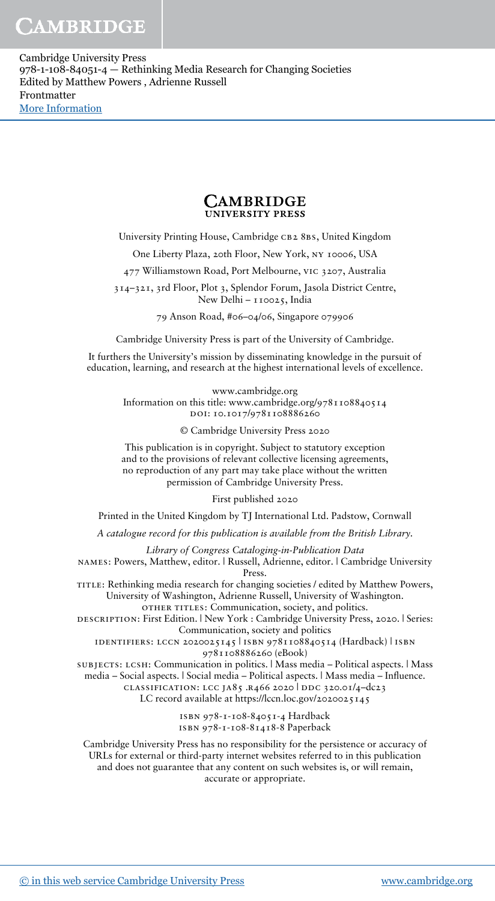# CAMBRIDGE

Cambridge University Press 978-1-108-84051-4 — Rethinking Media Research for Changing Societies Edited by Matthew Powers , Adrienne Russell Frontmatter [More Information](www.cambridge.org/9781108840514)

#### CAMBRIDGE **UNIVERSITY PRESS**

University Printing House, Cambridge CB2 8BS, United Kingdom

One Liberty Plaza, 20th Floor, New York, ny 10006, USA

477 Williamstown Road, Port Melbourne, vic 3207, Australia

314–321, 3rd Floor, Plot 3, Splendor Forum, Jasola District Centre, New Delhi - 110025, India

79 Anson Road, #06–04/06, Singapore 079906

Cambridge University Press is part of the University of Cambridge.

It furthers the University's mission by disseminating knowledge in the pursuit of education, learning, and research at the highest international levels of excellence.

> www.cambridge.org Information on this title: www.cambridge.org/9781108840514 DOI: 10.1017/9781108886260

> > © Cambridge University Press 2020

This publication is in copyright. Subject to statutory exception and to the provisions of relevant collective licensing agreements, no reproduction of any part may take place without the written permission of Cambridge University Press.

First published 2020

Printed in the United Kingdom by TJ International Ltd. Padstow, Cornwall

A catalogue record for this publication is available from the British Library.

*Library of Congress Cataloging-in-Publication Data* names: Powers, Matthew, editor. | Russell, Adrienne, editor. | Cambridge University Press.

TITLE: Rethinking media research for changing societies / edited by Matthew Powers, University of Washington, Adrienne Russell, University of Washington. other titles: Communication, society, and politics.

DESCRIPTION: First Edition. | New York : Cambridge University Press, 2020. | Series: Communication, society and politics

identifiers: lccn 2020025145 | isbn 9781108840514 (Hardback) | isbn

9781108886260 (eBook)

subjects: lcsh: Communication in politics. | Mass media – Political aspects. | Mass media – Social aspects. | Social media – Political aspects. | Mass media – Influence. classification: lcc ja85 .r466 2020 | ddc 320.01/4–dc23 LC record available at https://lccn.loc.gov/2020025145

> isbn 978-1-108-84051-4 Hardback isbn 978-1-108-81418-8 Paperback

Cambridge University Press has no responsibility for the persistence or accuracy of URLs for external or third-party internet websites referred to in this publication and does not guarantee that any content on such websites is, or will remain, accurate or appropriate.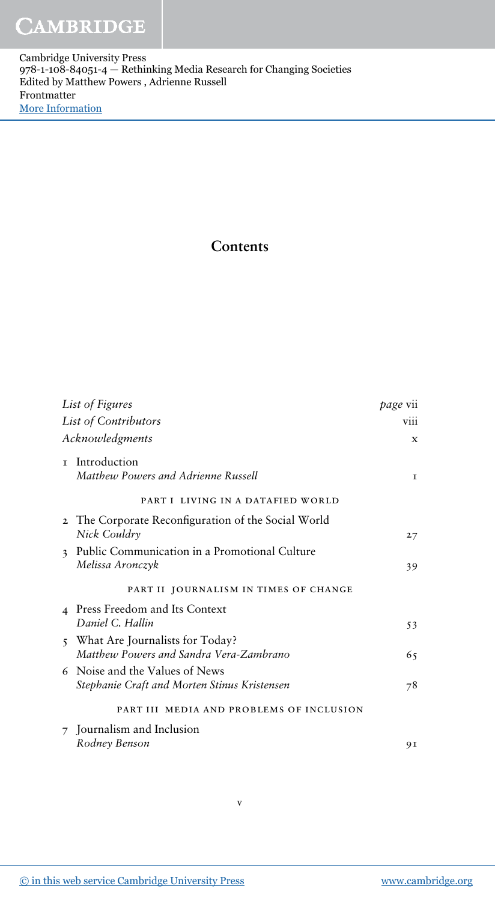## Contents

| List of Figures      |                                                                                | <i>page</i> vii |
|----------------------|--------------------------------------------------------------------------------|-----------------|
| List of Contributors |                                                                                | viii            |
| Acknowledgments      |                                                                                | X               |
|                      | <b>r</b> Introduction<br>Matthew Powers and Adrienne Russell                   | I               |
|                      | PART I LIVING IN A DATAFIED WORLD                                              |                 |
|                      | 2 The Corporate Reconfiguration of the Social World<br>Nick Couldry            | 27              |
|                      | 3 Public Communication in a Promotional Culture<br>Melissa Aronczyk            | 39              |
|                      | PART II JOURNALISM IN TIMES OF CHANGE                                          |                 |
|                      | 4 Press Freedom and Its Context<br>Daniel C. Hallin                            | 53              |
|                      | 5 What Are Journalists for Today?<br>Matthew Powers and Sandra Vera-Zambrano   | 65              |
|                      | 6 Noise and the Values of News<br>Stephanie Craft and Morten Stinus Kristensen | 78              |
|                      | PART III MEDIA AND PROBLEMS OF INCLUSION                                       |                 |
|                      | 7 Journalism and Inclusion                                                     |                 |
|                      | Rodney Benson                                                                  | 91              |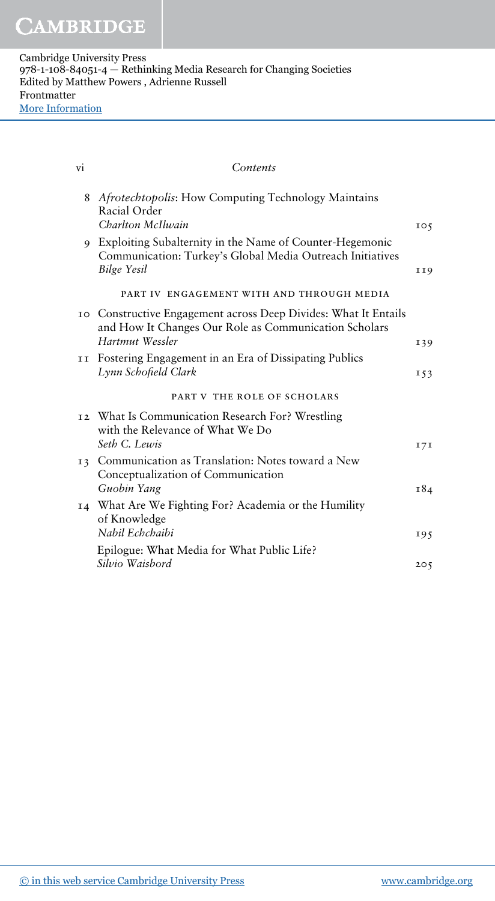| vi | Contents                                                                                                                                 |                 |
|----|------------------------------------------------------------------------------------------------------------------------------------------|-----------------|
|    | 8 Afrotechtopolis: How Computing Technology Maintains<br>Racial Order<br>Charlton McIlwain                                               | IO <sub>5</sub> |
|    | 9 Exploiting Subalternity in the Name of Counter-Hegemonic<br>Communication: Turkey's Global Media Outreach Initiatives<br>Bilge Yesil   | II9             |
|    | PART IV ENGAGEMENT WITH AND THROUGH MEDIA                                                                                                |                 |
| IO | Constructive Engagement across Deep Divides: What It Entails<br>and How It Changes Our Role as Communication Scholars<br>Hartmut Wessler |                 |
| II | Fostering Engagement in an Era of Dissipating Publics                                                                                    | 139             |
|    | Lynn Schofield Clark                                                                                                                     | 153             |
|    | PART V THE ROLE OF SCHOLARS                                                                                                              |                 |
|    | 12 What Is Communication Research For? Wrestling<br>with the Relevance of What We Do                                                     |                 |
|    | Seth C. Lewis                                                                                                                            | 171             |
| I3 | Communication as Translation: Notes toward a New<br>Conceptualization of Communication                                                   |                 |
|    | Guobin Yang                                                                                                                              | I84             |
|    | 14 What Are We Fighting For? Academia or the Humility<br>of Knowledge<br>Nabil Echchaibi                                                 | 195             |
|    | Epilogue: What Media for What Public Life?                                                                                               |                 |
|    | Silvio Waisbord                                                                                                                          | 205             |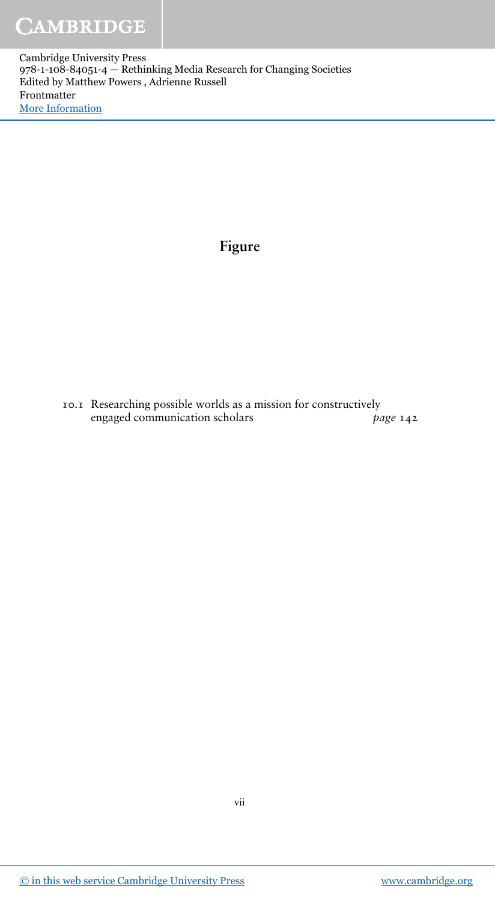## Figure

10.1 Researching possible worlds as a mission for constructively engaged communication scholars *page* 142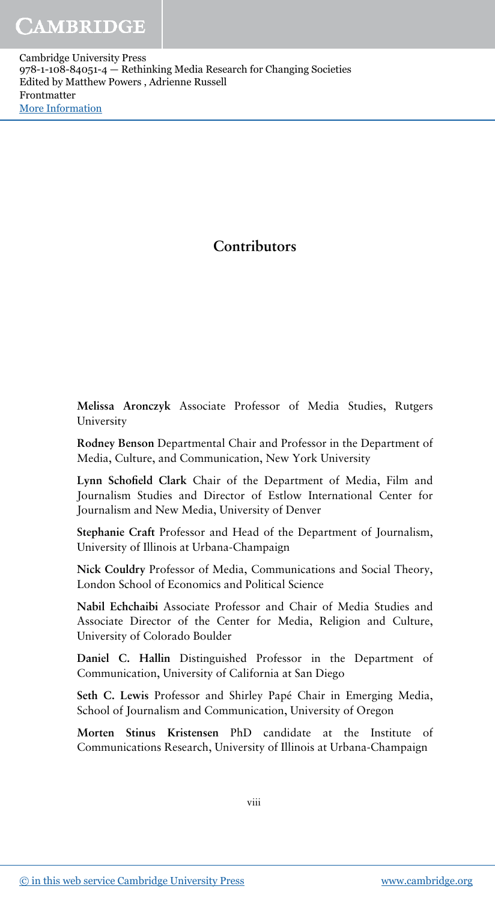## **Contributors**

Melissa Aronczyk Associate Professor of Media Studies, Rutgers University

Rodney Benson Departmental Chair and Professor in the Department of Media, Culture, and Communication, New York University

Lynn Schofield Clark Chair of the Department of Media, Film and Journalism Studies and Director of Estlow International Center for Journalism and New Media, University of Denver

Stephanie Craft Professor and Head of the Department of Journalism, University of Illinois at Urbana-Champaign

Nick Couldry Professor of Media, Communications and Social Theory, London School of Economics and Political Science

Nabil Echchaibi Associate Professor and Chair of Media Studies and Associate Director of the Center for Media, Religion and Culture, University of Colorado Boulder

Daniel C. Hallin Distinguished Professor in the Department of Communication, University of California at San Diego

Seth C. Lewis Professor and Shirley Papé Chair in Emerging Media, School of Journalism and Communication, University of Oregon

Morten Stinus Kristensen PhD candidate at the Institute of Communications Research, University of Illinois at Urbana-Champaign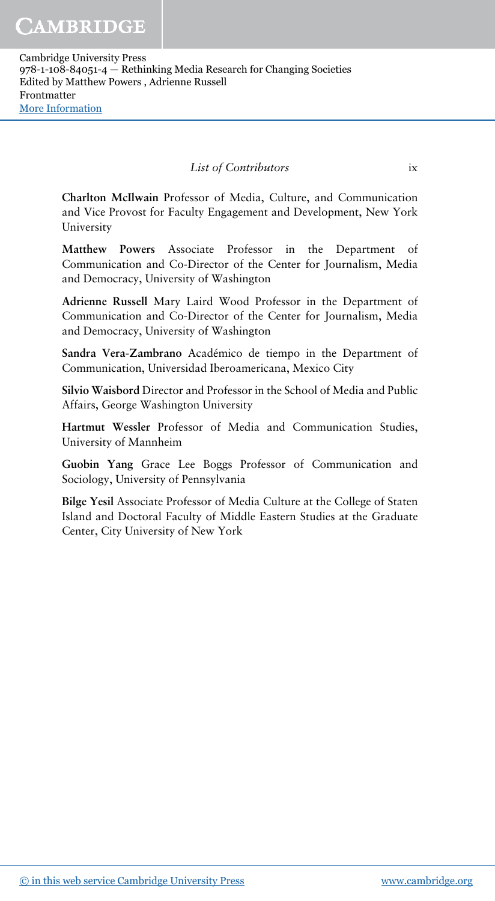### *List of Contributors* ix

Charlton McIlwain Professor of Media, Culture, and Communication and Vice Provost for Faculty Engagement and Development, New York University

Matthew Powers Associate Professor in the Department of Communication and Co-Director of the Center for Journalism, Media and Democracy, University of Washington

Adrienne Russell Mary Laird Wood Professor in the Department of Communication and Co-Director of the Center for Journalism, Media and Democracy, University of Washington

Sandra Vera-Zambrano Académico de tiempo in the Department of Communication, Universidad Iberoamericana, Mexico City

Silvio Waisbord Director and Professor in the School of Media and Public Affairs, George Washington University

Hartmut Wessler Professor of Media and Communication Studies, University of Mannheim

Guobin Yang Grace Lee Boggs Professor of Communication and Sociology, University of Pennsylvania

Bilge Yesil Associate Professor of Media Culture at the College of Staten Island and Doctoral Faculty of Middle Eastern Studies at the Graduate Center, City University of New York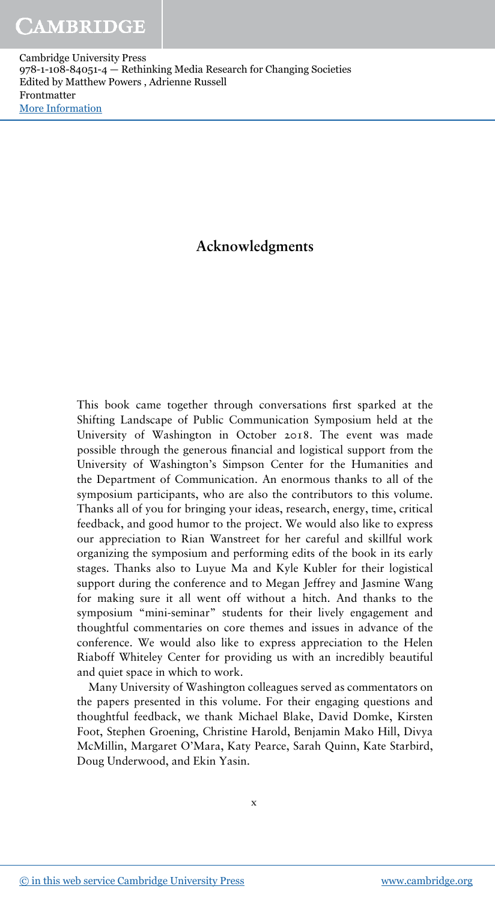# Acknowledgments

This book came together through conversations first sparked at the Shifting Landscape of Public Communication Symposium held at the University of Washington in October 2018. The event was made possible through the generous financial and logistical support from the University of Washington's Simpson Center for the Humanities and the Department of Communication. An enormous thanks to all of the symposium participants, who are also the contributors to this volume. Thanks all of you for bringing your ideas, research, energy, time, critical feedback, and good humor to the project. We would also like to express our appreciation to Rian Wanstreet for her careful and skillful work organizing the symposium and performing edits of the book in its early stages. Thanks also to Luyue Ma and Kyle Kubler for their logistical support during the conference and to Megan Jeffrey and Jasmine Wang for making sure it all went off without a hitch. And thanks to the symposium "mini-seminar" students for their lively engagement and thoughtful commentaries on core themes and issues in advance of the conference. We would also like to express appreciation to the Helen Riaboff Whiteley Center for providing us with an incredibly beautiful and quiet space in which to work.

Many University of Washington colleagues served as commentators on the papers presented in this volume. For their engaging questions and thoughtful feedback, we thank Michael Blake, David Domke, Kirsten Foot, Stephen Groening, Christine Harold, Benjamin Mako Hill, Divya McMillin, Margaret O'Mara, Katy Pearce, Sarah Quinn, Kate Starbird, Doug Underwood, and Ekin Yasin.